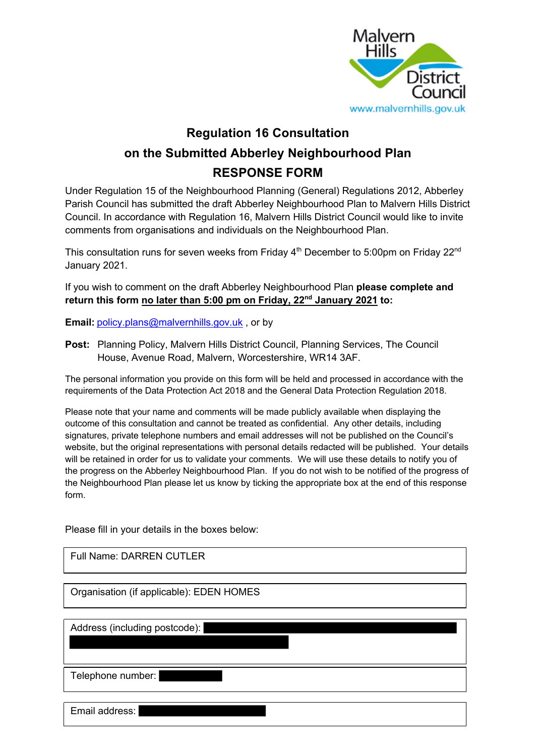

# **Regulation 16 Consultation on the Submitted Abberley Neighbourhood Plan RESPONSE FORM**

Under Regulation 15 of the Neighbourhood Planning (General) Regulations 2012, Abberley Parish Council has submitted the draft Abberley Neighbourhood Plan to Malvern Hills District Council. In accordance with Regulation 16, Malvern Hills District Council would like to invite comments from organisations and individuals on the Neighbourhood Plan.

This consultation runs for seven weeks from Friday  $4<sup>th</sup>$  December to 5:00pm on Friday 22<sup>nd</sup> January 2021.

If you wish to comment on the draft Abberley Neighbourhood Plan **please complete and return this form no later than 5:00 pm on Friday, 22nd January 2021 to:**

**Email:** policy.plans@malvernhills.gov.uk , or by

**Post:** Planning Policy, Malvern Hills District Council, Planning Services, The Council House, Avenue Road, Malvern, Worcestershire, WR14 3AF.

The personal information you provide on this form will be held and processed in accordance with the requirements of the Data Protection Act 2018 and the General Data Protection Regulation 2018.

Please note that your name and comments will be made publicly available when displaying the outcome of this consultation and cannot be treated as confidential. Any other details, including signatures, private telephone numbers and email addresses will not be published on the Council's website, but the original representations with personal details redacted will be published. Your details will be retained in order for us to validate your comments. We will use these details to notify you of the progress on the Abberley Neighbourhood Plan. If you do not wish to be notified of the progress of the Neighbourhood Plan please let us know by ticking the appropriate box at the end of this response form.

Please fill in your details in the boxes below:

Full Name: DARREN CUTLER

Organisation (if applicable): EDEN HOMES

Address (including postcode):

Telephone number:

Email address: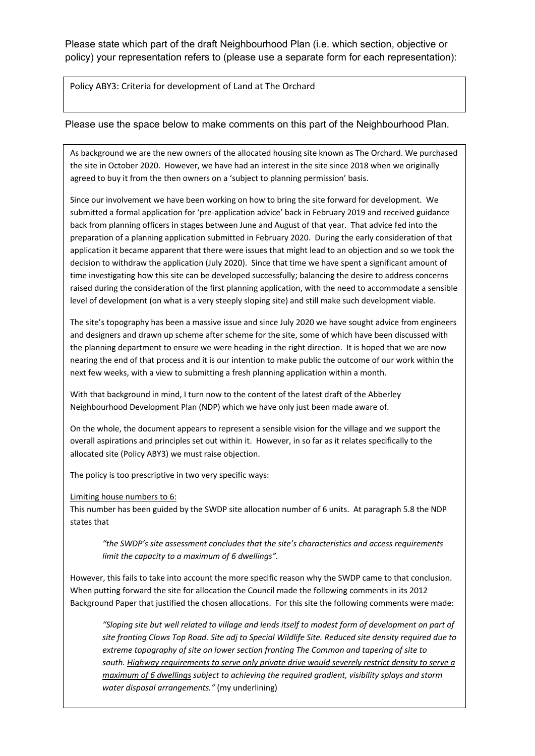Please state which part of the draft Neighbourhood Plan (i.e. which section, objective or policy) your representation refers to (please use a separate form for each representation):

Policy ABY3: Criteria for development of Land at The Orchard

### Please use the space below to make comments on this part of the Neighbourhood Plan.

As background we are the new owners of the allocated housing site known as The Orchard. We purchased the site in October 2020. However, we have had an interest in the site since 2018 when we originally agreed to buy it from the then owners on a 'subject to planning permission' basis.

Since our involvement we have been working on how to bring the site forward for development. We submitted a formal application for 'pre-application advice' back in February 2019 and received guidance back from planning officers in stages between June and August of that year. That advice fed into the preparation of a planning application submitted in February 2020. During the early consideration of that application it became apparent that there were issues that might lead to an objection and so we took the decision to withdraw the application (July 2020). Since that time we have spent a significant amount of time investigating how this site can be developed successfully; balancing the desire to address concerns raised during the consideration of the first planning application, with the need to accommodate a sensible level of development (on what is a very steeply sloping site) and still make such development viable.

The site's topography has been a massive issue and since July 2020 we have sought advice from engineers and designers and drawn up scheme after scheme for the site, some of which have been discussed with the planning department to ensure we were heading in the right direction. It is hoped that we are now nearing the end of that process and it is our intention to make public the outcome of our work within the next few weeks, with a view to submitting a fresh planning application within a month.

With that background in mind, I turn now to the content of the latest draft of the Abberley Neighbourhood Development Plan (NDP) which we have only just been made aware of.

On the whole, the document appears to represent a sensible vision for the village and we support the overall aspirations and principles set out within it. However, in so far as it relates specifically to the allocated site (Policy ABY3) we must raise objection.

The policy is too prescriptive in two very specific ways:

#### Limiting house numbers to 6:

This number has been guided by the SWDP site allocation number of 6 units. At paragraph 5.8 the NDP states that

*"the SWDP's site assessment concludes that the site's characteristics and access requirements limit the capacity to a maximum of 6 dwellings".*

However, this fails to take into account the more specific reason why the SWDP came to that conclusion. When putting forward the site for allocation the Council made the following comments in its 2012 Background Paper that justified the chosen allocations. For this site the following comments were made:

*"Sloping site but well related to village and lends itself to modest form of development on part of site fronting Clows Top Road. Site adj to Special Wildlife Site. Reduced site density required due to extreme topography of site on lower section fronting The Common and tapering of site to south. Highway requirements to serve only private drive would severely restrict density to serve a maximum of 6 dwellings subject to achieving the required gradient, visibility splays and storm water disposal arrangements."* (my underlining)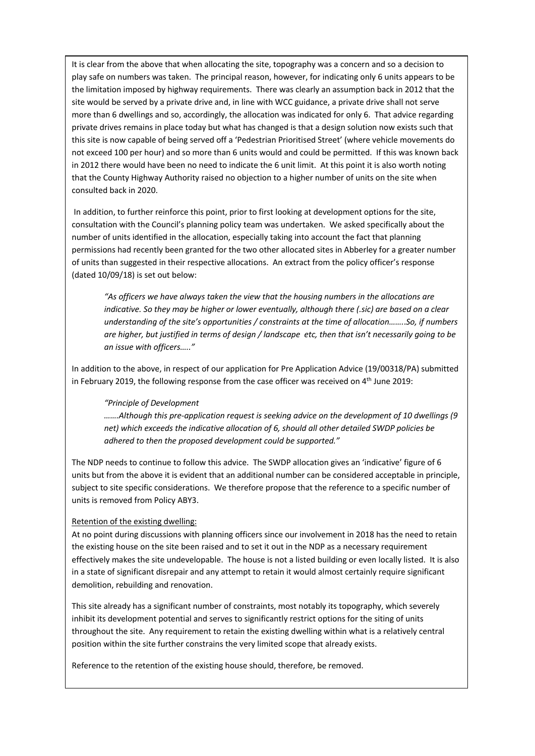It is clear from the above that when allocating the site, topography was a concern and so a decision to play safe on numbers was taken. The principal reason, however, for indicating only 6 units appears to be the limitation imposed by highway requirements. There was clearly an assumption back in 2012 that the site would be served by a private drive and, in line with WCC guidance, a private drive shall not serve more than 6 dwellings and so, accordingly, the allocation was indicated for only 6. That advice regarding private drives remains in place today but what has changed is that a design solution now exists such that this site is now capable of being served off a 'Pedestrian Prioritised Street' (where vehicle movements do not exceed 100 per hour) and so more than 6 units would and could be permitted. If this was known back in 2012 there would have been no need to indicate the 6 unit limit. At this point it is also worth noting that the County Highway Authority raised no objection to a higher number of units on the site when consulted back in 2020.

In addition, to further reinforce this point, prior to first looking at development options for the site, consultation with the Council's planning policy team was undertaken. We asked specifically about the number of units identified in the allocation, especially taking into account the fact that planning permissions had recently been granted for the two other allocated sites in Abberley for a greater number of units than suggested in their respective allocations. An extract from the policy officer's response (dated 10/09/18) is set out below:

*"As officers we have always taken the view that the housing numbers in the allocations are indicative. So they may be higher or lower eventually, although there (.sic) are based on a clear understanding of the site's opportunities / constraints at the time of allocation…….*.*So, if numbers are higher, but justified in terms of design / landscape etc, then that isn't necessarily going to be an issue with officers….."*

In addition to the above, in respect of our application for Pre Application Advice (19/00318/PA) submitted in February 2019, the following response from the case officer was received on 4<sup>th</sup> June 2019:

#### *"Principle of Development*

*…….Although this pre-application request is seeking advice on the development of 10 dwellings (9 net) which exceeds the indicative allocation of 6, should all other detailed SWDP policies be adhered to then the proposed development could be supported."*

The NDP needs to continue to follow this advice. The SWDP allocation gives an 'indicative' figure of 6 units but from the above it is evident that an additional number can be considered acceptable in principle, subject to site specific considerations. We therefore propose that the reference to a specific number of units is removed from Policy ABY3.

#### Retention of the existing dwelling:

At no point during discussions with planning officers since our involvement in 2018 has the need to retain the existing house on the site been raised and to set it out in the NDP as a necessary requirement effectively makes the site undevelopable. The house is not a listed building or even locally listed. It is also in a state of significant disrepair and any attempt to retain it would almost certainly require significant demolition, rebuilding and renovation.

This site already has a significant number of constraints, most notably its topography, which severely inhibit its development potential and serves to significantly restrict options for the siting of units throughout the site. Any requirement to retain the existing dwelling within what is a relatively central position within the site further constrains the very limited scope that already exists.

Reference to the retention of the existing house should, therefore, be removed.